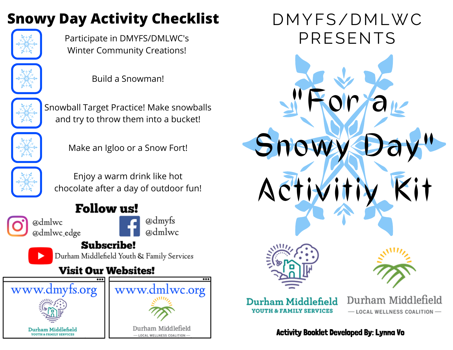# **Snowy Day Activity Checklist**



Participate in DMYFS/DMLWC's Winter Community Creations!



Build a Snowman!



Snowball Target Practice! Make snowballs and try to throw them into a bucket!



Make an Igloo or a Snow Fort!



Enjoy a warm drink like hot chocolate after a day of outdoor fun!

## **Follow us!**

@dmlwc @dmlwc\_edge



**Subscribe!** 

Durham Middlefield Youth & Family Services

### **Visit Our Websites!**



DMYFS/DMLWC PRESENTS

**"For a**

Activity Booklet Developed By: Lynna Vo

Durham Middlefield

- LOCAL WELLNESS COALITION-

 $S$ nov

**Activitiy Kit**

Durham Middlefield **YOUTH & FAMILY SERVICES**